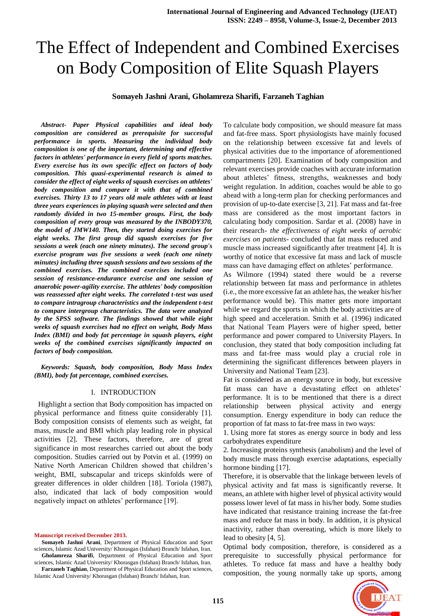# The Effect of Independent and Combined Exercises on Body Composition of Elite Squash Players

# **Somayeh Jashni Arani, Gholamreza Sharifi, Farzaneh Taghian**

*Abstract- Paper Physical capabilities and ideal body composition are considered as prerequisite for successful performance in sports. Measuring the individual body composition is one of the important, determining and effective factors in athletes' performance in every field of sports matches. Every exercise has its own specific effect on factors of body composition. This quasi-experimental research is aimed to consider the effect of eight weeks of squash exercises on athletes' body composition and compare it with that of combined exercises. Thirty 13 to 17 years old male athletes with at least three years experiences in playing squash were selected and then randomly divided in two 15-member groups. First, the body composition of every group was measured by the INBODY370, the model of JMW140. Then, they started doing exercises for eight weeks. The first group did squash exercises for five sessions a week (each one ninety minutes). The second group's exercise program was five sessions a week (each one ninety minutes) including three squash sessions and two sessions of the combined exercises. The combined exercises included one session of resistance-endurance exercise and one session of anaerobic power-agility exercise. The athletes' body composition was reassessed after eight weeks. The correlated t-test was used to compare intragroup characteristics and the independent t-test to compare intergroup characteristics. The data were analyzed by the SPSS software. The findings showed that while eight weeks of squash exercises had no effect on weight, Body Mass Index (BMI) and body fat percentage in squash players, eight weeks of the combined exercises significantly impacted on factors of body composition.*

*Keywords: Squash, body composition, Body Mass Index (BMI), body fat percentage, combined exercises.* 

#### I. INTRODUCTION

 Highlight a section that Body composition has impacted on physical performance and fitness quite considerably [1]. Body composition consists of elements such as weight, fat mass, muscle and BMI which play leading role in physical activities [2]. These factors, therefore, are of great significance in most researches carried out about the body composition. Studies carried out by Potvin et al. (1999) on Native North American Children showed that children's weight, BMI, subscapular and triceps skinfolds were of greater differences in older children [18]. Toriola (1987), also, indicated that lack of body composition would negatively impact on athletes' performance [19].

**Manuscript received December 2013.**

**Somayeh Jashni Arani**, Department of Physical Education and Sport sciences, Islamic Azad University/ Khorasgan (Isfahan) Branch/ Isfahan, Iran. **Gholamreza Sharifi**, Department of Physical Education and Sport

sciences, Islamic Azad University/ Khorasgan (Isfahan) Branch/ Isfahan, Iran. **Farzaneh Taghian**, Department of Physical Education and Sport sciences, Islamic Azad University/ Khorasgan (Isfahan) Branch/ Isfahan, Iran.

To calculate body composition, we should measure fat mass and fat-free mass. Sport physiologists have mainly focused on the relationship between excessive fat and levels of physical activities due to the importance of aforementioned compartments [20]. Examination of body composition and relevant exercises provide coaches with accurate information about athletes' fitness, strengths, weaknesses and body weight regulation. In addition, coaches would be able to go ahead with a long-term plan for checking performances and provision of up-to-date exercise [3, 21]. Fat mass and fat-free mass are considered as the most important factors in calculating body composition. Sardar et al. (2008) have in their research- *the effectiveness of eight weeks of aerobic exercises on patients*- concluded that fat mass reduced and muscle mass increased significantly after treatment [4]. It is worthy of notice that excessive fat mass and lack of muscle mass can have damaging effect on athletes' performance.

As Wilmore (1994) stated there would be a reverse relationship between fat mass and performance in athletes (i.e., the more excessive fat an athlete has, the weaker his/her performance would be). This matter gets more important while we regard the sports in which the body activities are of high speed and acceleration. Smith et al. (1996) indicated that National Team Players were of higher speed, better performance and power compared to University Players. In conclusion, they stated that body composition including fat mass and fat-free mass would play a crucial role in determining the significant differences between players in University and National Team [23].

Fat is considered as an energy source in body, but excessive fat mass can have a devastating effect on athletes' performance. It is to be mentioned that there is a direct relationship between physical activity and energy consumption. Energy expenditure in body can reduce the proportion of fat mass to fat-free mass in two ways:

1. Using more fat stores as energy source in body and less carbohydrates expenditure

2. Increasing proteins synthesis (anabolism) and the level of body muscle mass through exercise adaptations, especially hormone binding [17].

Therefore, it is observable that the linkage between levels of physical activity and fat mass is significantly reverse. It means, an athlete with higher level of physical activity would possess lower level of fat mass in his/her body. Some studies have indicated that resistance training increase the fat-free mass and reduce fat mass in body. In addition, it is physical inactivity, rather than overeating, which is more likely to lead to obesity [4, 5].

Optimal body composition, therefore, is considered as a prerequisite to successfully physical performance for athletes. To reduce fat mass and have a healthy body composition, the young normally take up sports, among

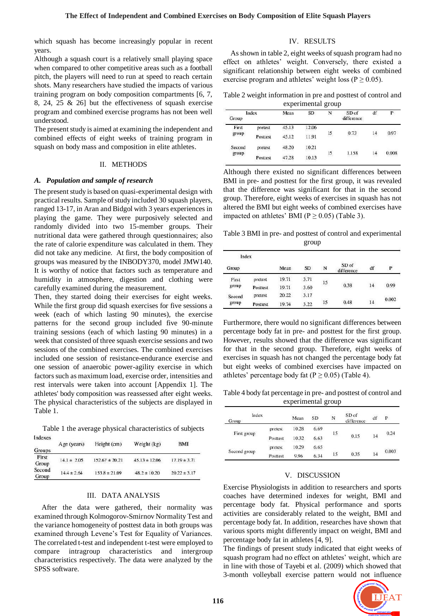which squash has become increasingly popular in recent years.

Although a squash court is a relatively small playing space when compared to other competitive areas such as a football pitch, the players will need to run at speed to reach certain shots. Many researchers have studied the impacts of various training program on body composition compartments [6, 7, 8, 24, 25 & 26] but the effectiveness of squash exercise program and combined exercise programs has not been well understood.

The present study is aimed at examining the independent and combined effects of eight weeks of training program in squash on body mass and composition in elite athletes.

## II. METHODS

#### *A. Population and sample of research*

The present study is based on quasi-experimental design with practical results. Sample of study included 30 squash players, ranged 13-17, in Aran and Bidgol with 3 years experiences in playing the game. They were purposively selected and randomly divided into two 15-member groups. Their nutritional data were gathered through questionnaires; also the rate of calorie expenditure was calculated in them. They did not take any medicine. At first, the body composition of groups was measured by the INBODY370, model JMW140. It is worthy of notice that factors such as temperature and humidity in atmosphere, digestion and clothing were carefully examined during the measurement.

Then, they started doing their exercises for eight weeks. While the first group did squash exercises for five sessions a week (each of which lasting 90 minutes), the exercise patterns for the second group included five 90-minute training sessions (each of which lasting 90 minutes) in a week that consisted of three squash exercise sessions and two sessions of the combined exercises. The combined exercises included one session of resistance-endurance exercise and one session of anaerobic power-agility exercise in which factors such as maximum load, exercise order, intensities and rest intervals were taken into account [Appendix 1]. The athletes' body composition was reassessed after eight weeks. The physical characteristics of the subjects are displayed in Table 1.

Table 1 the average physical characteristics of subjects

| indexes         |                 | Height (cm)        | Weight (kg)       | <b>BMI</b>       |  |
|-----------------|-----------------|--------------------|-------------------|------------------|--|
| <b>Groups</b>   | Age (years)     |                    |                   |                  |  |
| First<br>Group  | $14.1 \pm 2.05$ | $152.67 \pm 20.21$ | $45.13 \pm 12.06$ | $17.19 \pm 3.71$ |  |
| Second<br>Group | $14.4 \pm 2.64$ | $153.8 \pm 21.09$  | $48.2 \pm 10.20$  | $20.22 \pm 3.17$ |  |

# III. DATA ANALYSIS

After the data were gathered, their normality was examined through Kolmogorov-Smirnov Normality Test and the variance homogeneity of posttest data in both groups was examined through Levene's Test for Equality of Variances. The correlated t-test and independent t-test were employed to compare intragroup characteristics and intergroup characteristics respectively. The data were analyzed by the SPSS software.

## IV. RESULTS

As shown in table 2, eight weeks of squash program had no effect on athletes' weight. Conversely, there existed a significant relationship between eight weeks of combined exercise program and athletes' weight loss ( $P \ge 0.05$ ).

Table 2 weight information in pre and posttest of control and experimental group

|                | Index    | Mean  | <br><b>SD</b><br>N<br>SD of |                          |            | df | P     |
|----------------|----------|-------|-----------------------------|--------------------------|------------|----|-------|
| Group          |          |       |                             |                          | difference |    |       |
| First<br>group | pretest  | 45.13 | 12.06                       |                          |            | 14 | 0.97  |
|                | Posttest | 45.12 | 11.91                       | 15<br>--                 | 0.73       |    |       |
| Second         | pretest  | 48.20 | 10.21                       | 1.158<br>15<br>- - - - - | 14         |    | 0.008 |
| group          | Posttest | 47.28 | 10.13                       |                          |            |    |       |

Although there existed no significant differences between BMI in pre- and posttest for the first group, it was revealed that the difference was significant for that in the second group. Therefore, eight weeks of exercises in squash has not altered the BMI but eight weeks of combined exercises have impacted on athletes' BMI ( $P \ge 0.05$ ) (Table 3).

Table 3 BMI in pre- and posttest of control and experimental group

| Index           |          |       |           |    |                     |    |       |
|-----------------|----------|-------|-----------|----|---------------------|----|-------|
| Group           |          | Mean  | <b>SD</b> | N  | SD of<br>difference | df | P     |
| First<br>group  | pretest  | 19.71 | 3.71      | 15 | 0.38                | 14 |       |
|                 | Posttest | 19.71 | 3.60      |    |                     |    | 0.99  |
| Second<br>group | pretest  | 20.22 | 3.17      |    |                     |    |       |
|                 | Posttest | 19.74 | 3.22      | 15 | 0.48                | 14 | 0.002 |

Furthermore, there would no significant differences between percentage body fat in pre- and posttest for the first group. However, results showed that the difference was significant for that in the second group. Therefore, eight weeks of exercises in squash has not changed the percentage body fat but eight weeks of combined exercises have impacted on athletes' percentage body fat ( $P \ge 0.05$ ) (Table 4).

Table 4 body fat percentage in pre- and posttest of control and experimental group

| Index<br>Group |          | Mean  | SD   | N  | SD of<br>difference | df | P     |
|----------------|----------|-------|------|----|---------------------|----|-------|
|                | pretest  | 10.28 | 6.69 | 15 |                     | 14 | 0.24  |
| First group    | Posttest | 10.32 | 6.63 |    | 0.15                |    |       |
|                | pretest  | 10.29 | 6.65 | 15 |                     |    | 0.003 |
| Second group   | Posttest | 9.96  | 6.34 |    | 0.35                | 14 |       |

### V. DISCUSSION

Exercise Physiologists in addition to researchers and sports coaches have determined indexes for weight, BMI and percentage body fat. Physical performance and sports activities are considerably related to the weight, BMI and percentage body fat. In addition, researches have shown that various sports might differently impact on weight, BMI and percentage body fat in athletes [4, 9].

The findings of present study indicated that eight weeks of squash program had no effect on athletes' weight, which are in line with those of Tayebi et al. (2009) which showed that 3-month volleyball exercise pattern would not influence

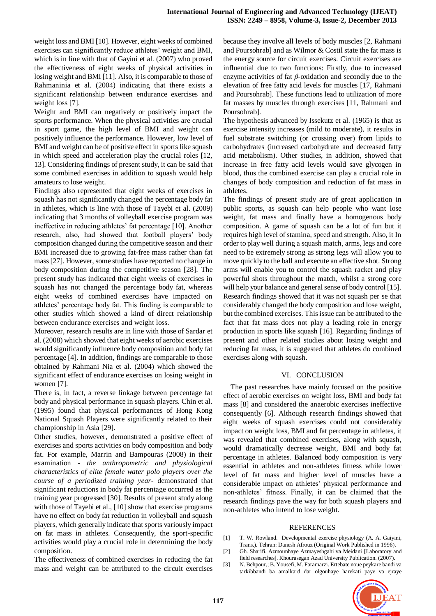weight loss and BMI [10]. However, eight weeks of combined exercises can significantly reduce athletes' weight and BMI, which is in line with that of Gayini et al. (2007) who proved the effectiveness of eight weeks of physical activities in losing weight and BMI [11]. Also, it is comparable to those of Rahmaninia et al. (2004) indicating that there exists a significant relationship between endurance exercises and weight loss [7].

Weight and BMI can negatively or positively impact the sports performance. When the physical activities are crucial in sport game, the high level of BMI and weight can positively influence the performance. However, low level of BMI and weight can be of positive effect in sports like squash in which speed and acceleration play the crucial roles [12, 13]. Considering findings of present study, it can be said that some combined exercises in addition to squash would help amateurs to lose weight.

Findings also represented that eight weeks of exercises in squash has not significantly changed the percentage body fat in athletes, which is line with those of Tayebi et al. (2009) indicating that 3 months of volleyball exercise program was ineffective in reducing athletes' fat percentage [10]. Another research, also, had showed that football players' body composition changed during the competitive season and their BMI increased due to growing fat-free mass rather than fat mass [27]. However, some studies have reported no change in body composition during the competitive season [28]. The present study has indicated that eight weeks of exercises in squash has not changed the percentage body fat, whereas eight weeks of combined exercises have impacted on athletes' percentage body fat. This finding is comparable to other studies which showed a kind of direct relationship between endurance exercises and weight loss.

Moreover, research results are in line with those of Sardar et al. (2008) which showed that eight weeks of aerobic exercises would significantly influence body composition and body fat percentage [4]. In addition, findings are comparable to those obtained by Rahmani Nia et al. (2004) which showed the significant effect of endurance exercises on losing weight in women [7].

There is, in fact, a reverse linkage between percentage fat body and physical performance in squash players. Chin et al. (1995) found that physical performances of Hong Kong National Squash Players were significantly related to their championship in Asia [29].

Other studies, however, demonstrated a positive effect of exercises and sports activities on body composition and body fat. For example, Marrin and Bampouras (2008) in their examination - *the anthropometric and physiological characteristics of elite female water polo players over the course of a periodized training year*- demonstrated that significant reductions in body fat percentage occurred as the training year progressed [30]. Results of present study along with those of Tayebi et al., [10] show that exercise programs have no effect on body fat reduction in volleyball and squash players, which generally indicate that sports variously impact on fat mass in athletes. Consequently, the sport-specific activities would play a crucial role in determining the body composition.

The effectiveness of combined exercises in reducing the fat mass and weight can be attributed to the circuit exercises because they involve all levels of body muscles [2, Rahmani and Poursohrab] and as Wilmor & Costil state the fat mass is the energy source for circuit exercises. Circuit exercises are influential due to two functions: Firstly, due to increased enzyme activities of fat *β*-oxidation and secondly due to the elevation of free fatty acid levels for muscles [17, Rahmani and Poursohrab]. These functions lead to utilization of more fat masses by muscles through exercises [11, Rahmani and Poursohrab].

The hypothesis advanced by Issekutz et al. (1965) is that as exercise intensity increases (mild to moderate), it results in fuel substrate switching (or crossing over) from lipids to carbohydrates (increased carbohydrate and decreased fatty acid metabolism). Other studies, in addition, showed that increase in free fatty acid levels would save glycogen in blood, thus the combined exercise can play a crucial role in changes of body composition and reduction of fat mass in athletes.

The findings of present study are of great application in public sports, as squash can help people who want lose weight, fat mass and finally have a homogenous body composition. A game of squash can be a lot of fun but it requires high level of stamina, speed and strength. Also, it In order to play well during a squash match, arms, legs and core need to be extremely strong as strong legs will allow you to move quickly to the ball and execute an effective shot. Strong arms will enable you to control the squash racket and play powerful shots throughout the match, whilst a strong core will help your balance and general sense of body control [15]. Research findings showed that it was not squash per se that considerably changed the body composition and lose weight, but the combined exercises. This issue can be attributed to the fact that fat mass does not play a leading role in energy production in sports like squash [16]. Regarding findings of present and other related studies about losing weight and reducing fat mass, it is suggested that athletes do combined exercises along with squash.

# VI. CONCLUSION

The past researches have mainly focused on the positive effect of aerobic exercises on weight loss, BMI and body fat mass [8] and considered the anaerobic exercises ineffective consequently [6]. Although research findings showed that eight weeks of squash exercises could not considerably impact on weight loss, BMI and fat percentage in athletes, it was revealed that combined exercises, along with squash, would dramatically decrease weight, BMI and body fat percentage in athletes. Balanced body composition is very essential in athletes and non-athletes fitness while lower level of fat mass and higher level of muscles have a considerable impact on athletes' physical performance and non-athletes' fitness. Finally, it can be claimed that the research findings pave the way for both squash players and non-athletes who intend to lose weight.

### REFERENCES

- [1] T. W. Rowland. Developmental exercise physiology (A. A. Gaiyini, Trans.). Tehran: Danesh Afrouz (Original Work Published in 1996).
- [2] Gh. Sharifi. Azmounhaye Azmayeshgahi va Meidani [Laboratory and field researches]. Khourasegan Azad University Publication. (2007).
- [3] N. Behpour,; B. Yousefi, M. Faramarzi. Ertebate noue peykare bandi va tarkibbandi ba amalkard dar olgouhaye harekati paye va ejraye